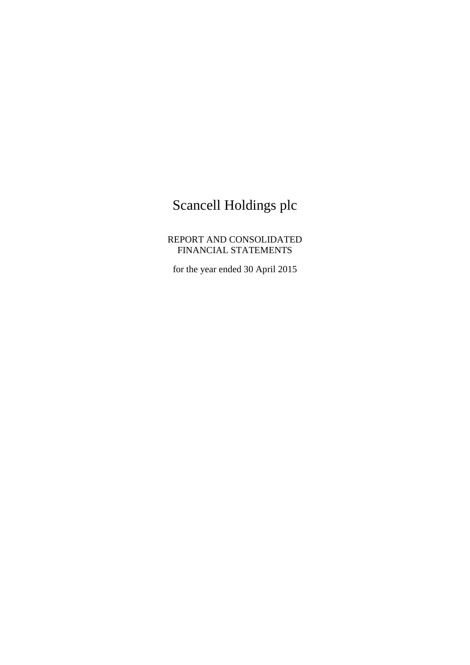# Scancell Holdings plc

REPORT AND CONSOLIDATED FINANCIAL STATEMENTS

for the year ended 30 April 2015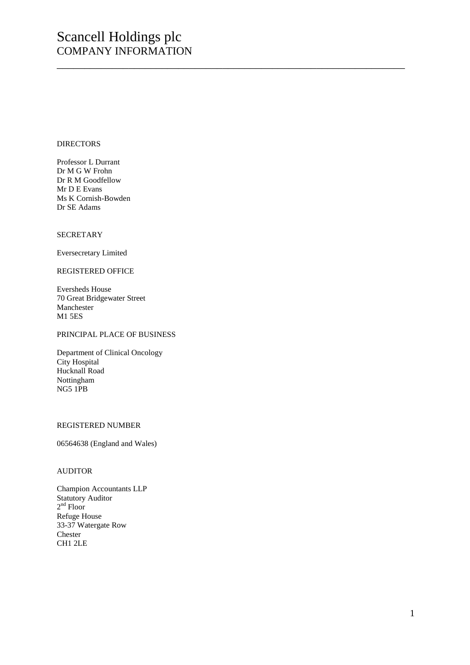## Scancell Holdings plc COMPANY INFORMATION

\_\_\_\_\_\_\_\_\_\_\_\_\_\_\_\_\_\_\_\_\_\_\_\_\_\_\_\_\_\_\_\_\_\_\_\_\_\_\_\_\_\_\_\_\_\_\_\_\_\_\_\_\_\_\_\_\_\_\_\_\_\_\_

#### DIRECTORS

Professor L Durrant Dr M G W Frohn Dr R M Goodfellow Mr D E Evans Ms K Cornish-Bowden Dr SE Adams

#### SECRETARY

Eversecretary Limited

#### REGISTERED OFFICE

Eversheds House 70 Great Bridgewater Street Manchester M1 5ES

#### PRINCIPAL PLACE OF BUSINESS

Department of Clinical Oncology City Hospital Hucknall Road Nottingham NG5 1PB

#### REGISTERED NUMBER

06564638 (England and Wales)

#### AUDITOR

Champion Accountants LLP Statutory Auditor 2<sup>nd</sup> Floor Refuge House 33-37 Watergate Row Chester CH1 2LE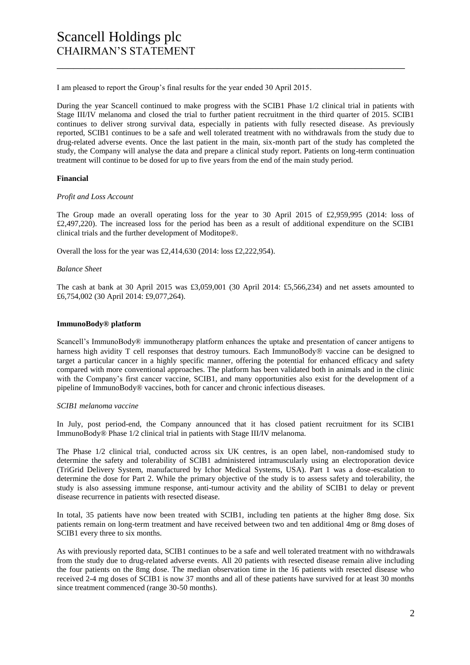I am pleased to report the Group's final results for the year ended 30 April 2015.

During the year Scancell continued to make progress with the SCIB1 Phase 1/2 clinical trial in patients with Stage III/IV melanoma and closed the trial to further patient recruitment in the third quarter of 2015. SCIB1 continues to deliver strong survival data, especially in patients with fully resected disease. As previously reported, SCIB1 continues to be a safe and well tolerated treatment with no withdrawals from the study due to drug-related adverse events. Once the last patient in the main, six-month part of the study has completed the study, the Company will analyse the data and prepare a clinical study report. Patients on long-term continuation treatment will continue to be dosed for up to five years from the end of the main study period.

\_\_\_\_\_\_\_\_\_\_\_\_\_\_\_\_\_\_\_\_\_\_\_\_\_\_\_\_\_\_\_\_\_\_\_\_\_\_\_\_\_\_\_\_\_\_\_\_\_\_\_\_\_\_\_\_\_\_\_\_\_\_\_

#### **Financial**

#### *Profit and Loss Account*

The Group made an overall operating loss for the year to 30 April 2015 of £2,959,995 (2014: loss of £2,497,220). The increased loss for the period has been as a result of additional expenditure on the SCIB1 clinical trials and the further development of Moditope®.

Overall the loss for the year was £2,414,630 (2014: loss £2,222,954).

#### *Balance Sheet*

The cash at bank at 30 April 2015 was £3,059,001 (30 April 2014: £5,566,234) and net assets amounted to £6,754,002 (30 April 2014: £9,077,264).

#### **ImmunoBody® platform**

Scancell's ImmunoBody® immunotherapy platform enhances the uptake and presentation of cancer antigens to harness high avidity T cell responses that destroy tumours. Each ImmunoBody® vaccine can be designed to target a particular cancer in a highly specific manner, offering the potential for enhanced efficacy and safety compared with more conventional approaches. The platform has been validated both in animals and in the clinic with the Company's first cancer vaccine, SCIB1, and many opportunities also exist for the development of a pipeline of ImmunoBody® vaccines, both for cancer and chronic infectious diseases.

#### *SCIB1 melanoma vaccine*

In July, post period-end, the Company announced that it has closed patient recruitment for its SCIB1 ImmunoBody® Phase 1/2 clinical trial in patients with Stage III/IV melanoma.

The Phase 1/2 clinical trial, conducted across six UK centres, is an open label, non-randomised study to determine the safety and tolerability of SCIB1 administered intramuscularly using an electroporation device (TriGrid Delivery System, manufactured by Ichor Medical Systems, USA). Part 1 was a dose-escalation to determine the dose for Part 2. While the primary objective of the study is to assess safety and tolerability, the study is also assessing immune response, anti-tumour activity and the ability of SCIB1 to delay or prevent disease recurrence in patients with resected disease.

In total, 35 patients have now been treated with SCIB1, including ten patients at the higher 8mg dose. Six patients remain on long-term treatment and have received between two and ten additional 4mg or 8mg doses of SCIB1 every three to six months.

As with previously reported data, SCIB1 continues to be a safe and well tolerated treatment with no withdrawals from the study due to drug-related adverse events. All 20 patients with resected disease remain alive including the four patients on the 8mg dose. The median observation time in the 16 patients with resected disease who received 2-4 mg doses of SCIB1 is now 37 months and all of these patients have survived for at least 30 months since treatment commenced (range 30-50 months).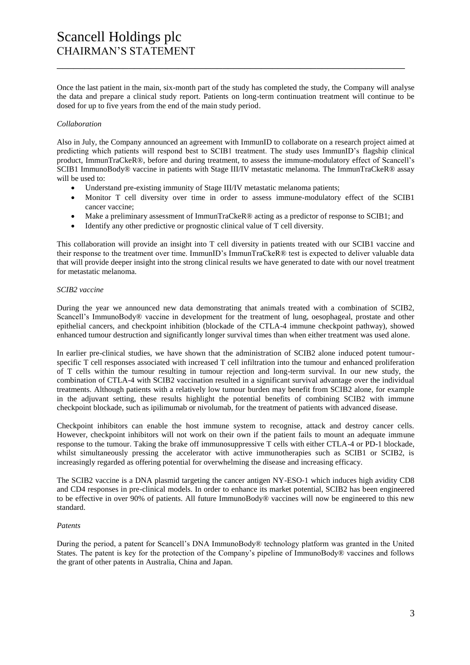Once the last patient in the main, six-month part of the study has completed the study, the Company will analyse the data and prepare a clinical study report. Patients on long-term continuation treatment will continue to be dosed for up to five years from the end of the main study period.

\_\_\_\_\_\_\_\_\_\_\_\_\_\_\_\_\_\_\_\_\_\_\_\_\_\_\_\_\_\_\_\_\_\_\_\_\_\_\_\_\_\_\_\_\_\_\_\_\_\_\_\_\_\_\_\_\_\_\_\_\_\_\_

#### *Collaboration*

Also in July, the Company announced an agreement with ImmunID to collaborate on a research project aimed at predicting which patients will respond best to SCIB1 treatment. The study uses ImmunID's flagship clinical product, ImmunTraCkeR®, before and during treatment, to assess the immune-modulatory effect of Scancell's SCIB1 ImmunoBody® vaccine in patients with Stage III/IV metastatic melanoma. The ImmunTraCkeR® assay will be used to:

- Understand pre-existing immunity of Stage III/IV metastatic melanoma patients;
- Monitor T cell diversity over time in order to assess immune-modulatory effect of the SCIB1 cancer vaccine;
- Make a preliminary assessment of ImmunTraCkeR® acting as a predictor of response to SCIB1; and
- Identify any other predictive or prognostic clinical value of T cell diversity.

This collaboration will provide an insight into T cell diversity in patients treated with our SCIB1 vaccine and their response to the treatment over time. ImmunID's ImmunTraCkeR® test is expected to deliver valuable data that will provide deeper insight into the strong clinical results we have generated to date with our novel treatment for metastatic melanoma.

#### *SCIB2 vaccine*

During the year we announced new data demonstrating that animals treated with a combination of SCIB2, Scancell's ImmunoBody® vaccine in development for the treatment of lung, oesophageal, prostate and other epithelial cancers, and checkpoint inhibition (blockade of the CTLA-4 immune checkpoint pathway), showed enhanced tumour destruction and significantly longer survival times than when either treatment was used alone.

In earlier pre-clinical studies, we have shown that the administration of SCIB2 alone induced potent tumourspecific T cell responses associated with increased T cell infiltration into the tumour and enhanced proliferation of T cells within the tumour resulting in tumour rejection and long-term survival. In our new study, the combination of CTLA-4 with SCIB2 vaccination resulted in a significant survival advantage over the individual treatments. Although patients with a relatively low tumour burden may benefit from SCIB2 alone, for example in the adjuvant setting, these results highlight the potential benefits of combining SCIB2 with immune checkpoint blockade, such as ipilimumab or nivolumab, for the treatment of patients with advanced disease.

Checkpoint inhibitors can enable the host immune system to recognise, attack and destroy cancer cells. However, checkpoint inhibitors will not work on their own if the patient fails to mount an adequate immune response to the tumour. Taking the brake off immunosuppressive T cells with either CTLA-4 or PD-1 blockade, whilst simultaneously pressing the accelerator with active immunotherapies such as SCIB1 or SCIB2, is increasingly regarded as offering potential for overwhelming the disease and increasing efficacy.

The SCIB2 vaccine is a DNA plasmid targeting the cancer antigen NY-ESO-1 which induces high avidity CD8 and CD4 responses in pre-clinical models. In order to enhance its market potential, SCIB2 has been engineered to be effective in over 90% of patients. All future ImmunoBody® vaccines will now be engineered to this new standard.

#### *Patents*

During the period, a patent for Scancell's DNA ImmunoBody® technology platform was granted in the United States. The patent is key for the protection of the Company's pipeline of ImmunoBody® vaccines and follows the grant of other patents in Australia, China and Japan.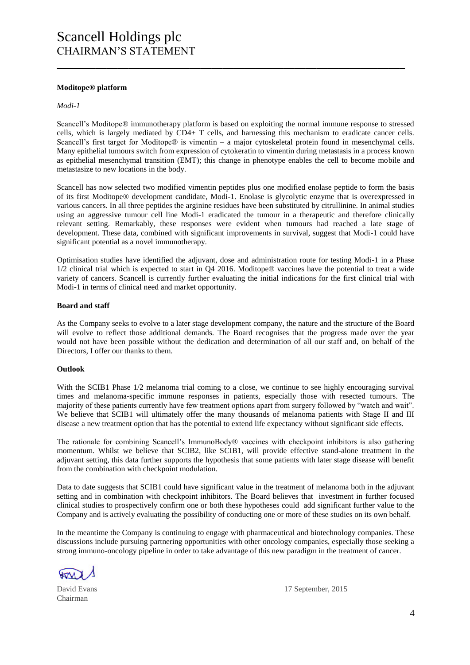#### **Moditope® platform**

#### *Modi-1*

Scancell's Moditope® immunotherapy platform is based on exploiting the normal immune response to stressed cells, which is largely mediated by CD4+ T cells, and harnessing this mechanism to eradicate cancer cells. Scancell's first target for Moditope® is vimentin – a major cytoskeletal protein found in mesenchymal cells. Many epithelial tumours switch from expression of cytokeratin to vimentin during metastasis in a process known as epithelial mesenchymal transition (EMT); this change in phenotype enables the cell to become mobile and metastasize to new locations in the body.

\_\_\_\_\_\_\_\_\_\_\_\_\_\_\_\_\_\_\_\_\_\_\_\_\_\_\_\_\_\_\_\_\_\_\_\_\_\_\_\_\_\_\_\_\_\_\_\_\_\_\_\_\_\_\_\_\_\_\_\_\_\_\_

Scancell has now selected two modified vimentin peptides plus one modified enolase peptide to form the basis of its first Moditope® development candidate, Modi-1. Enolase is glycolytic enzyme that is overexpressed in various cancers. In all three peptides the arginine residues have been substituted by citrullinine. In animal studies using an aggressive tumour cell line Modi-1 eradicated the tumour in a therapeutic and therefore clinically relevant setting. Remarkably, these responses were evident when tumours had reached a late stage of development. These data, combined with significant improvements in survival, suggest that Modi-1 could have significant potential as a novel immunotherapy.

Optimisation studies have identified the adjuvant, dose and administration route for testing Modi-1 in a Phase 1/2 clinical trial which is expected to start in Q4 2016. Moditope® vaccines have the potential to treat a wide variety of cancers. Scancell is currently further evaluating the initial indications for the first clinical trial with Modi-1 in terms of clinical need and market opportunity.

#### **Board and staff**

As the Company seeks to evolve to a later stage development company, the nature and the structure of the Board will evolve to reflect those additional demands. The Board recognises that the progress made over the year would not have been possible without the dedication and determination of all our staff and, on behalf of the Directors, I offer our thanks to them.

#### **Outlook**

With the SCIB1 Phase  $1/2$  melanoma trial coming to a close, we continue to see highly encouraging survival times and melanoma-specific immune responses in patients, especially those with resected tumours. The majority of these patients currently have few treatment options apart from surgery followed by "watch and wait". We believe that SCIB1 will ultimately offer the many thousands of melanoma patients with Stage II and III disease a new treatment option that has the potential to extend life expectancy without significant side effects.

The rationale for combining Scancell's ImmunoBody® vaccines with checkpoint inhibitors is also gathering momentum. Whilst we believe that SCIB2, like SCIB1, will provide effective stand-alone treatment in the adjuvant setting, this data further supports the hypothesis that some patients with later stage disease will benefit from the combination with checkpoint modulation.

Data to date suggests that SCIB1 could have significant value in the treatment of melanoma both in the adjuvant setting and in combination with checkpoint inhibitors. The Board believes that investment in further focused clinical studies to prospectively confirm one or both these hypotheses could add significant further value to the Company and is actively evaluating the possibility of conducting one or more of these studies on its own behalf.

In the meantime the Company is continuing to engage with pharmaceutical and biotechnology companies. These discussions include pursuing partnering opportunities with other oncology companies, especially those seeking a strong immuno-oncology pipeline in order to take advantage of this new paradigm in the treatment of cancer.

Chairman

David Evans 17 September, 2015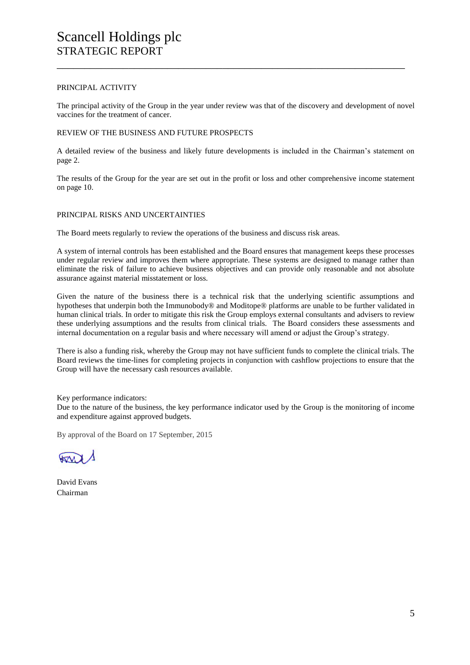#### PRINCIPAL ACTIVITY

The principal activity of the Group in the year under review was that of the discovery and development of novel vaccines for the treatment of cancer.

\_\_\_\_\_\_\_\_\_\_\_\_\_\_\_\_\_\_\_\_\_\_\_\_\_\_\_\_\_\_\_\_\_\_\_\_\_\_\_\_\_\_\_\_\_\_\_\_\_\_\_\_\_\_\_\_\_\_\_\_\_\_\_

#### REVIEW OF THE BUSINESS AND FUTURE PROSPECTS

A detailed review of the business and likely future developments is included in the Chairman's statement on page 2.

The results of the Group for the year are set out in the profit or loss and other comprehensive income statement on page 10.

#### PRINCIPAL RISKS AND UNCERTAINTIES

The Board meets regularly to review the operations of the business and discuss risk areas.

A system of internal controls has been established and the Board ensures that management keeps these processes under regular review and improves them where appropriate. These systems are designed to manage rather than eliminate the risk of failure to achieve business objectives and can provide only reasonable and not absolute assurance against material misstatement or loss.

Given the nature of the business there is a technical risk that the underlying scientific assumptions and hypotheses that underpin both the Immunobody® and Moditope® platforms are unable to be further validated in human clinical trials. In order to mitigate this risk the Group employs external consultants and advisers to review these underlying assumptions and the results from clinical trials. The Board considers these assessments and internal documentation on a regular basis and where necessary will amend or adjust the Group's strategy.

There is also a funding risk, whereby the Group may not have sufficient funds to complete the clinical trials. The Board reviews the time-lines for completing projects in conjunction with cashflow projections to ensure that the Group will have the necessary cash resources available.

Key performance indicators:

Due to the nature of the business, the key performance indicator used by the Group is the monitoring of income and expenditure against approved budgets.

By approval of the Board on 17 September, 2015

David Evans Chairman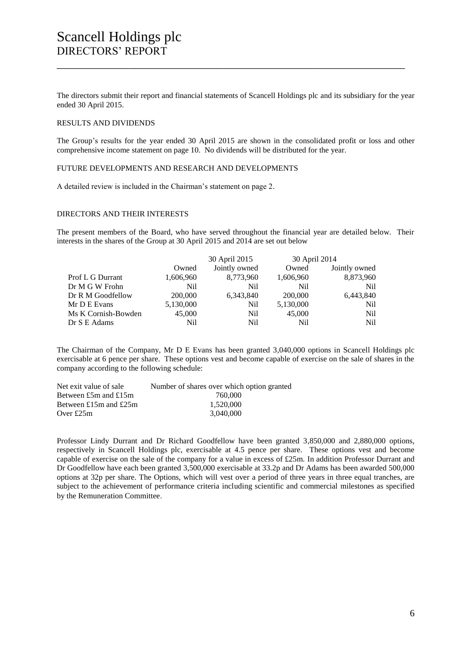The directors submit their report and financial statements of Scancell Holdings plc and its subsidiary for the year ended 30 April 2015.

\_\_\_\_\_\_\_\_\_\_\_\_\_\_\_\_\_\_\_\_\_\_\_\_\_\_\_\_\_\_\_\_\_\_\_\_\_\_\_\_\_\_\_\_\_\_\_\_\_\_\_\_\_\_\_\_\_\_\_\_\_\_\_

#### RESULTS AND DIVIDENDS

The Group's results for the year ended 30 April 2015 are shown in the consolidated profit or loss and other comprehensive income statement on page 10. No dividends will be distributed for the year.

#### FUTURE DEVELOPMENTS AND RESEARCH AND DEVELOPMENTS

A detailed review is included in the Chairman's statement on page 2.

#### DIRECTORS AND THEIR INTERESTS

The present members of the Board, who have served throughout the financial year are detailed below. Their interests in the shares of the Group at 30 April 2015 and 2014 are set out below

|                     |           | 30 April 2015 | 30 April 2014   |               |
|---------------------|-----------|---------------|-----------------|---------------|
|                     | Owned     | Jointly owned | Owned           | Jointly owned |
| Prof L G Durrant    | 1,606,960 | 8,773,960     | 1,606,960       | 8,873,960     |
| Dr M G W Frohn      | Nil.      | Nil           | N <sub>il</sub> | Nil.          |
| Dr R M Goodfellow   | 200,000   | 6,343,840     | 200,000         | 6,443,840     |
| Mr D E Evans        | 5,130,000 | Nil           | 5,130,000       | Nil           |
| Ms K Cornish-Bowden | 45,000    | Nil           | 45,000          | Nil           |
| Dr S E Adams        | Nil       | Nil           | N <sub>il</sub> | Nil           |

The Chairman of the Company, Mr D E Evans has been granted 3,040,000 options in Scancell Holdings plc exercisable at 6 pence per share. These options vest and become capable of exercise on the sale of shares in the company according to the following schedule:

| Net exit value of sale   | Number of shares over which option granted |
|--------------------------|--------------------------------------------|
| Between $£5m$ and $£15m$ | 760,000                                    |
| Between £15m and £25m    | 1.520,000                                  |
| Over $£25m$              | 3.040.000                                  |
|                          |                                            |

Professor Lindy Durrant and Dr Richard Goodfellow have been granted 3,850,000 and 2,880,000 options, respectively in Scancell Holdings plc, exercisable at 4.5 pence per share. These options vest and become capable of exercise on the sale of the company for a value in excess of £25m. In addition Professor Durrant and Dr Goodfellow have each been granted 3,500,000 exercisable at 33.2p and Dr Adams has been awarded 500,000 options at 32p per share. The Options, which will vest over a period of three years in three equal tranches, are subject to the achievement of performance criteria including scientific and commercial milestones as specified by the Remuneration Committee.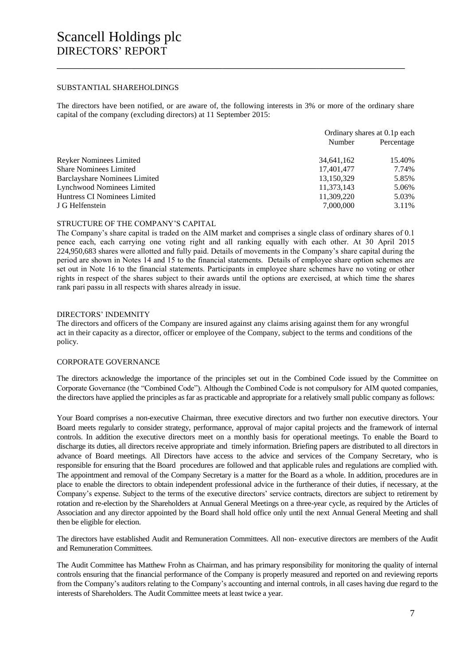#### SUBSTANTIAL SHAREHOLDINGS

The directors have been notified, or are aware of, the following interests in 3% or more of the ordinary share capital of the company (excluding directors) at 11 September 2015:

\_\_\_\_\_\_\_\_\_\_\_\_\_\_\_\_\_\_\_\_\_\_\_\_\_\_\_\_\_\_\_\_\_\_\_\_\_\_\_\_\_\_\_\_\_\_\_\_\_\_\_\_\_\_\_\_\_\_\_\_\_\_\_

|                                      | Ordinary shares at 0.1p each |            |
|--------------------------------------|------------------------------|------------|
|                                      | Number                       | Percentage |
| <b>Reyker Nominees Limited</b>       | 34,641,162                   | 15.40%     |
| <b>Share Nominees Limited</b>        | 17,401,477                   | 7.74%      |
| <b>Barclayshare Nominees Limited</b> | 13,150,329                   | 5.85%      |
| Lynchwood Nominees Limited           | 11,373,143                   | 5.06%      |
| Huntress CI Nominees Limited         | 11,309,220                   | 5.03%      |
| J G Helfenstein                      | 7,000,000                    | 3.11%      |

#### STRUCTURE OF THE COMPANY'S CAPITAL

The Company's share capital is traded on the AIM market and comprises a single class of ordinary shares of 0.1 pence each, each carrying one voting right and all ranking equally with each other. At 30 April 2015 224,950,683 shares were allotted and fully paid. Details of movements in the Company's share capital during the period are shown in Notes 14 and 15 to the financial statements. Details of employee share option schemes are set out in Note 16 to the financial statements. Participants in employee share schemes have no voting or other rights in respect of the shares subject to their awards until the options are exercised, at which time the shares rank pari passu in all respects with shares already in issue.

#### DIRECTORS' INDEMNITY

The directors and officers of the Company are insured against any claims arising against them for any wrongful act in their capacity as a director, officer or employee of the Company, subject to the terms and conditions of the policy.

#### CORPORATE GOVERNANCE

The directors acknowledge the importance of the principles set out in the Combined Code issued by the Committee on Corporate Governance (the "Combined Code"). Although the Combined Code is not compulsory for AIM quoted companies, the directors have applied the principles as far as practicable and appropriate for a relatively small public company as follows:

Your Board comprises a non-executive Chairman, three executive directors and two further non executive directors. Your Board meets regularly to consider strategy, performance, approval of major capital projects and the framework of internal controls. In addition the executive directors meet on a monthly basis for operational meetings. To enable the Board to discharge its duties, all directors receive appropriate and timely information. Briefing papers are distributed to all directors in advance of Board meetings. All Directors have access to the advice and services of the Company Secretary, who is responsible for ensuring that the Board procedures are followed and that applicable rules and regulations are complied with. The appointment and removal of the Company Secretary is a matter for the Board as a whole. In addition, procedures are in place to enable the directors to obtain independent professional advice in the furtherance of their duties, if necessary, at the Company's expense. Subject to the terms of the executive directors' service contracts, directors are subject to retirement by rotation and re-election by the Shareholders at Annual General Meetings on a three-year cycle, as required by the Articles of Association and any director appointed by the Board shall hold office only until the next Annual General Meeting and shall then be eligible for election.

The directors have established Audit and Remuneration Committees. All non- executive directors are members of the Audit and Remuneration Committees.

The Audit Committee has Matthew Frohn as Chairman, and has primary responsibility for monitoring the quality of internal controls ensuring that the financial performance of the Company is properly measured and reported on and reviewing reports from the Company's auditors relating to the Company's accounting and internal controls, in all cases having due regard to the interests of Shareholders. The Audit Committee meets at least twice a year.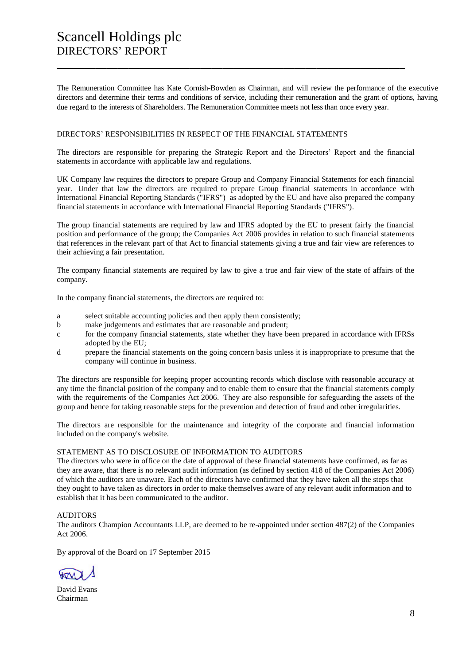The Remuneration Committee has Kate Cornish-Bowden as Chairman, and will review the performance of the executive directors and determine their terms and conditions of service, including their remuneration and the grant of options, having due regard to the interests of Shareholders. The Remuneration Committee meets not less than once every year.

\_\_\_\_\_\_\_\_\_\_\_\_\_\_\_\_\_\_\_\_\_\_\_\_\_\_\_\_\_\_\_\_\_\_\_\_\_\_\_\_\_\_\_\_\_\_\_\_\_\_\_\_\_\_\_\_\_\_\_\_\_\_\_

#### DIRECTORS' RESPONSIBILITIES IN RESPECT OF THE FINANCIAL STATEMENTS

The directors are responsible for preparing the Strategic Report and the Directors' Report and the financial statements in accordance with applicable law and regulations.

UK Company law requires the directors to prepare Group and Company Financial Statements for each financial year. Under that law the directors are required to prepare Group financial statements in accordance with International Financial Reporting Standards ("IFRS") as adopted by the EU and have also prepared the company financial statements in accordance with International Financial Reporting Standards ("IFRS").

The group financial statements are required by law and IFRS adopted by the EU to present fairly the financial position and performance of the group; the Companies Act 2006 provides in relation to such financial statements that references in the relevant part of that Act to financial statements giving a true and fair view are references to their achieving a fair presentation.

The company financial statements are required by law to give a true and fair view of the state of affairs of the company.

In the company financial statements, the directors are required to:

- a select suitable accounting policies and then apply them consistently;
- b make judgements and estimates that are reasonable and prudent;
- c for the company financial statements, state whether they have been prepared in accordance with IFRSs adopted by the EU;
- d prepare the financial statements on the going concern basis unless it is inappropriate to presume that the company will continue in business.

The directors are responsible for keeping proper accounting records which disclose with reasonable accuracy at any time the financial position of the company and to enable them to ensure that the financial statements comply with the requirements of the Companies Act 2006. They are also responsible for safeguarding the assets of the group and hence for taking reasonable steps for the prevention and detection of fraud and other irregularities.

The directors are responsible for the maintenance and integrity of the corporate and financial information included on the company's website.

#### STATEMENT AS TO DISCLOSURE OF INFORMATION TO AUDITORS

The directors who were in office on the date of approval of these financial statements have confirmed, as far as they are aware, that there is no relevant audit information (as defined by section 418 of the Companies Act 2006) of which the auditors are unaware. Each of the directors have confirmed that they have taken all the steps that they ought to have taken as directors in order to make themselves aware of any relevant audit information and to establish that it has been communicated to the auditor.

#### AUDITORS

The auditors Champion Accountants LLP, are deemed to be re-appointed under section 487(2) of the Companies Act 2006.

By approval of the Board on 17 September 2015

David Evans Chairman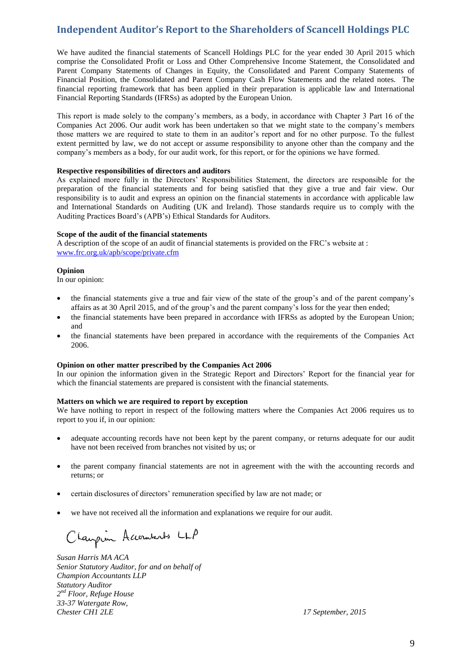## **Independent Auditor's Report to the Shareholders of Scancell Holdings PLC**

We have audited the financial statements of Scancell Holdings PLC for the year ended 30 April 2015 which comprise the Consolidated Profit or Loss and Other Comprehensive Income Statement, the Consolidated and Parent Company Statements of Changes in Equity, the Consolidated and Parent Company Statements of Financial Position, the Consolidated and Parent Company Cash Flow Statements and the related notes. The financial reporting framework that has been applied in their preparation is applicable law and International Financial Reporting Standards (IFRSs) as adopted by the European Union.

This report is made solely to the company's members, as a body, in accordance with Chapter 3 Part 16 of the Companies Act 2006. Our audit work has been undertaken so that we might state to the company's members those matters we are required to state to them in an auditor's report and for no other purpose. To the fullest extent permitted by law, we do not accept or assume responsibility to anyone other than the company and the company's members as a body, for our audit work, for this report, or for the opinions we have formed.

#### **Respective responsibilities of directors and auditors**

As explained more fully in the Directors' Responsibilities Statement, the directors are responsible for the preparation of the financial statements and for being satisfied that they give a true and fair view. Our responsibility is to audit and express an opinion on the financial statements in accordance with applicable law and International Standards on Auditing (UK and Ireland). Those standards require us to comply with the Auditing Practices Board's (APB's) Ethical Standards for Auditors.

#### **Scope of the audit of the financial statements**

A description of the scope of an audit of financial statements is provided on the FRC's website at : [www.frc.org.uk/apb/scope/private.cfm](http://www.frc.org.uk/apb/scope/private.cfm)

#### **Opinion**

In our opinion:

- the financial statements give a true and fair view of the state of the group's and of the parent company's affairs as at 30 April 2015, and of the group's and the parent company's loss for the year then ended;
- the financial statements have been prepared in accordance with IFRSs as adopted by the European Union; and
- the financial statements have been prepared in accordance with the requirements of the Companies Act 2006.

#### **Opinion on other matter prescribed by the Companies Act 2006**

In our opinion the information given in the Strategic Report and Directors' Report for the financial year for which the financial statements are prepared is consistent with the financial statements.

#### **Matters on which we are required to report by exception**

We have nothing to report in respect of the following matters where the Companies Act 2006 requires us to report to you if, in our opinion:

- adequate accounting records have not been kept by the parent company, or returns adequate for our audit have not been received from branches not visited by us; or
- the parent company financial statements are not in agreement with the with the accounting records and returns; or
- certain disclosures of directors' remuneration specified by law are not made; or
- we have not received all the information and explanations we require for our audit.

Claupion Accountants LLP

*Susan Harris MA ACA Senior Statutory Auditor, for and on behalf of Champion Accountants LLP Statutory Auditor 2 nd Floor, Refuge House 33-37 Watergate Row, Chester CH1 2LE 17 September, 2015*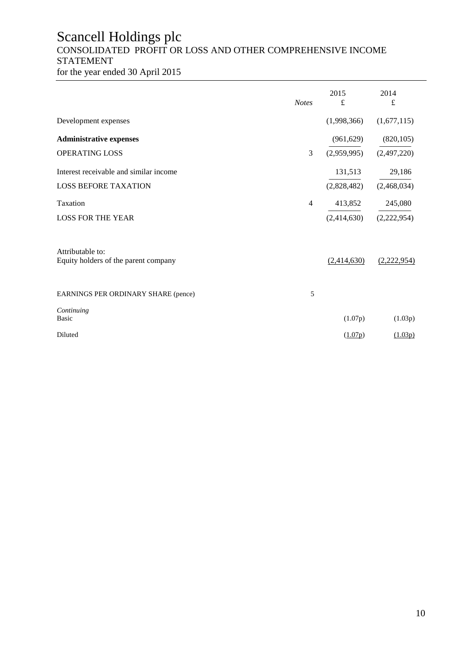## Scancell Holdings plc CONSOLIDATED PROFIT OR LOSS AND OTHER COMPREHENSIVE INCOME STATEMENT

for the year ended 30 April 2015

|                                                          | <b>Notes</b>   | 2015<br>£   | 2014<br>£   |
|----------------------------------------------------------|----------------|-------------|-------------|
| Development expenses                                     |                | (1,998,366) | (1,677,115) |
| <b>Administrative expenses</b>                           |                | (961, 629)  | (820, 105)  |
| OPERATING LOSS                                           | 3              | (2,959,995) | (2,497,220) |
| Interest receivable and similar income                   |                | 131,513     | 29,186      |
| <b>LOSS BEFORE TAXATION</b>                              |                | (2,828,482) | (2,468,034) |
| Taxation                                                 | $\overline{4}$ | 413,852     | 245,080     |
| <b>LOSS FOR THE YEAR</b>                                 |                | (2,414,630) | (2,222,954) |
| Attributable to:<br>Equity holders of the parent company |                | (2,414,630) | (2,222,954) |
| EARNINGS PER ORDINARY SHARE (pence)                      | 5              |             |             |
| Continuing<br><b>Basic</b>                               |                | (1.07p)     | (1.03p)     |
| Diluted                                                  |                | (1.07p)     | (1.03p)     |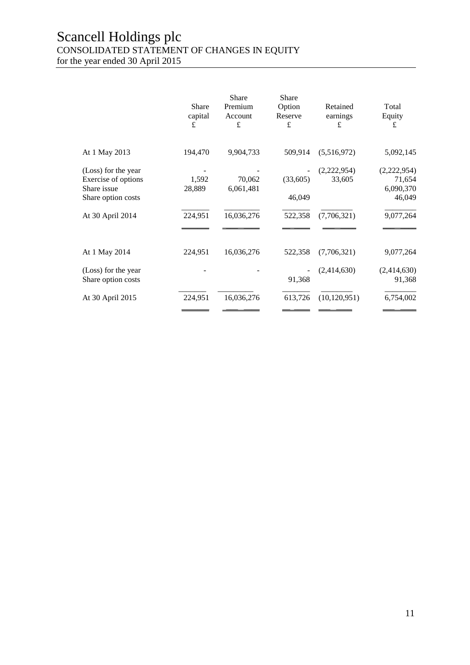## Scancell Holdings plc CONSOLIDATED STATEMENT OF CHANGES IN EQUITY

for the year ended 30 April 2015

|                                                                                 | Share<br>capital<br>£ | <b>Share</b><br>Premium<br>Account<br>£ | <b>Share</b><br>Option<br>Reserve<br>£ | Retained<br>earnings<br>£ | Total<br>Equity<br>£                         |
|---------------------------------------------------------------------------------|-----------------------|-----------------------------------------|----------------------------------------|---------------------------|----------------------------------------------|
| At 1 May 2013                                                                   | 194,470               | 9,904,733                               | 509,914                                | (5,516,972)               | 5,092,145                                    |
| (Loss) for the year<br>Exercise of options<br>Share issue<br>Share option costs | 1,592<br>28,889       | 70,062<br>6,061,481                     | (33,605)<br>46,049                     | (2,222,954)<br>33,605     | (2,222,954)<br>71,654<br>6,090,370<br>46,049 |
| At 30 April 2014                                                                | 224,951               | 16,036,276                              | 522,358                                | (7,706,321)               | 9,077,264                                    |
| At 1 May 2014                                                                   | 224,951               | 16,036,276                              | 522,358                                | (7,706,321)               | 9,077,264                                    |
| (Loss) for the year<br>Share option costs                                       |                       |                                         | 91,368                                 | (2,414,630)               | (2,414,630)<br>91,368                        |
| At 30 April 2015                                                                | 224,951               | 16,036,276                              | 613,726                                | (10, 120, 951)            | 6,754,002                                    |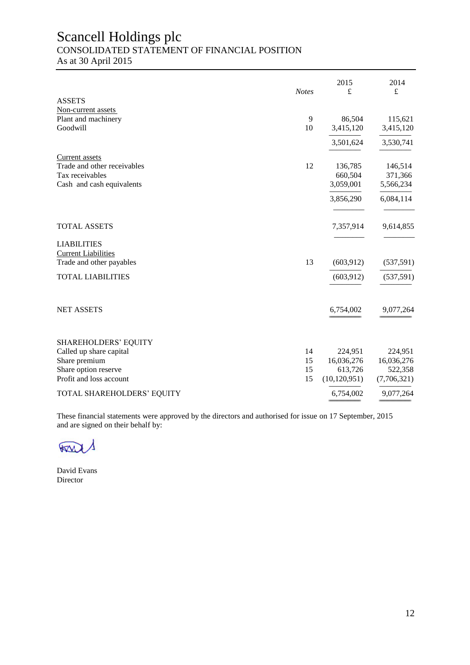# Scancell Holdings plc

CONSOLIDATED STATEMENT OF FINANCIAL POSITION

As at 30 April 2015

|                                                 | <b>Notes</b> | 2015<br>£                 | 2014<br>$\mathbf f$    |
|-------------------------------------------------|--------------|---------------------------|------------------------|
| <b>ASSETS</b>                                   |              |                           |                        |
| Non-current assets                              |              |                           |                        |
| Plant and machinery                             | 9            | 86,504                    | 115,621                |
| Goodwill                                        | 10           | 3,415,120                 | 3,415,120              |
|                                                 |              | 3,501,624                 | 3,530,741              |
| Current assets                                  |              |                           |                        |
| Trade and other receivables                     | 12           | 136,785                   | 146,514                |
| Tax receivables                                 |              | 660,504                   | 371,366                |
| Cash and cash equivalents                       |              | 3,059,001                 | 5,566,234              |
|                                                 |              | 3,856,290                 | 6,084,114              |
| <b>TOTAL ASSETS</b>                             |              | 7,357,914                 | 9,614,855              |
| <b>LIABILITIES</b>                              |              |                           |                        |
| <b>Current Liabilities</b>                      |              |                           |                        |
| Trade and other payables                        | 13           | (603, 912)                | (537, 591)             |
| <b>TOTAL LIABILITIES</b>                        |              | (603, 912)                | (537, 591)             |
|                                                 |              |                           |                        |
| <b>NET ASSETS</b>                               |              | 6,754,002                 | 9,077,264              |
|                                                 |              |                           |                        |
| SHAREHOLDERS' EQUITY                            |              |                           |                        |
| Called up share capital                         | 14           | 224,951                   | 224,951                |
| Share premium                                   | 15           | 16,036,276                | 16,036,276             |
| Share option reserve<br>Profit and loss account | 15<br>15     | 613,726<br>(10, 120, 951) | 522,358<br>(7,706,321) |
|                                                 |              |                           |                        |
| TOTAL SHAREHOLDERS' EQUITY                      |              | 6,754,002                 | 9,077,264              |

These financial statements were approved by the directors and authorised for issue on 17 September, 2015 and are signed on their behalf by:

**BOOM** 

David Evans Director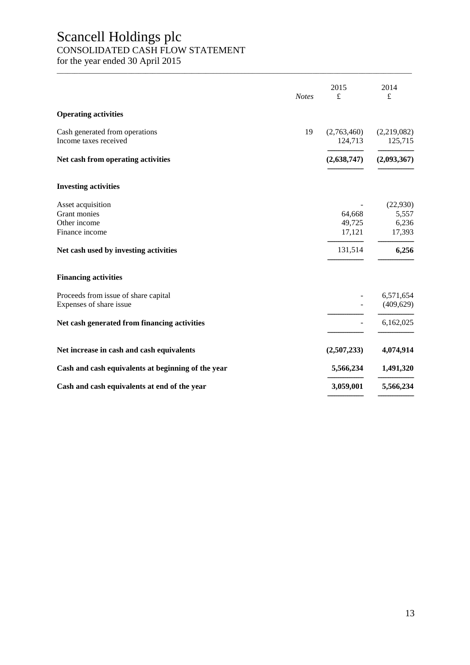# Scancell Holdings plc

### CONSOLIDATED CASH FLOW STATEMENT

for the year ended 30 April 2015

|                                                         | <b>Notes</b> | 2015<br>$\pounds$      | 2014<br>$\mathbf f$    |
|---------------------------------------------------------|--------------|------------------------|------------------------|
| <b>Operating activities</b>                             |              |                        |                        |
| Cash generated from operations<br>Income taxes received | 19           | (2,763,460)<br>124,713 | (2,219,082)<br>125,715 |
| Net cash from operating activities                      |              | (2,638,747)            | (2,093,367)            |
| <b>Investing activities</b>                             |              |                        |                        |
| Asset acquisition                                       |              |                        | (22,930)               |
| Grant monies                                            |              | 64,668                 | 5,557                  |
| Other income                                            |              | 49,725                 | 6,236                  |
| Finance income                                          |              | 17,121                 | 17,393                 |
| Net cash used by investing activities                   |              | 131,514                | 6,256                  |
| <b>Financing activities</b>                             |              |                        |                        |
| Proceeds from issue of share capital                    |              |                        | 6,571,654              |
| Expenses of share issue                                 |              |                        | (409, 629)             |
|                                                         |              |                        |                        |
| Net cash generated from financing activities            |              |                        | 6,162,025              |
| Net increase in cash and cash equivalents               |              | (2,507,233)            | 4,074,914              |
| Cash and cash equivalents at beginning of the year      |              | 5,566,234              | 1,491,320              |
| Cash and cash equivalents at end of the year            |              | 3,059,001              | 5,566,234              |
|                                                         |              |                        |                        |

\_\_\_\_\_\_\_\_\_\_\_\_\_\_\_\_\_\_\_\_\_\_\_\_\_\_\_\_\_\_\_\_\_\_\_\_\_\_\_\_\_\_\_\_\_\_\_\_\_\_\_\_\_\_\_\_\_\_\_\_\_\_\_\_\_\_\_\_\_\_\_\_\_\_\_\_\_\_\_\_\_\_\_\_\_\_\_\_\_\_\_\_\_\_\_\_\_\_\_\_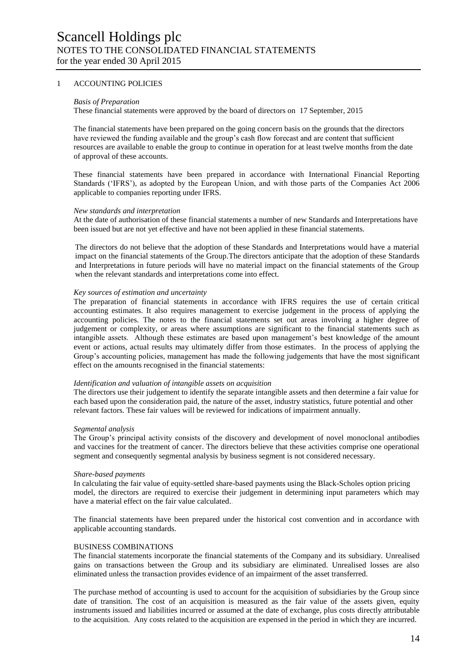#### 1 ACCOUNTING POLICIES

#### *Basis of Preparation*

These financial statements were approved by the board of directors on 17 September, 2015

The financial statements have been prepared on the going concern basis on the grounds that the directors have reviewed the funding available and the group's cash flow forecast and are content that sufficient resources are available to enable the group to continue in operation for at least twelve months from the date of approval of these accounts.

These financial statements have been prepared in accordance with International Financial Reporting Standards ('IFRS'), as adopted by the European Union, and with those parts of the Companies Act 2006 applicable to companies reporting under IFRS.

#### *New standards and interpretation*

At the date of authorisation of these financial statements a number of new Standards and Interpretations have been issued but are not yet effective and have not been applied in these financial statements.

The directors do not believe that the adoption of these Standards and Interpretations would have a material impact on the financial statements of the Group.The directors anticipate that the adoption of these Standards and Interpretations in future periods will have no material impact on the financial statements of the Group when the relevant standards and interpretations come into effect.

#### *Key sources of estimation and uncertainty*

The preparation of financial statements in accordance with IFRS requires the use of certain critical accounting estimates. It also requires management to exercise judgement in the process of applying the accounting policies. The notes to the financial statements set out areas involving a higher degree of judgement or complexity, or areas where assumptions are significant to the financial statements such as intangible assets. Although these estimates are based upon management's best knowledge of the amount event or actions, actual results may ultimately differ from those estimates. In the process of applying the Group's accounting policies, management has made the following judgements that have the most significant effect on the amounts recognised in the financial statements:

#### *Identification and valuation of intangible assets on acquisition*

The directors use their judgement to identify the separate intangible assets and then determine a fair value for each based upon the consideration paid, the nature of the asset, industry statistics, future potential and other relevant factors. These fair values will be reviewed for indications of impairment annually.

#### *Segmental analysis*

The Group's principal activity consists of the discovery and development of novel monoclonal antibodies and vaccines for the treatment of cancer. The directors believe that these activities comprise one operational segment and consequently segmental analysis by business segment is not considered necessary.

#### *Share-based payments*

In calculating the fair value of equity-settled share-based payments using the Black-Scholes option pricing model, the directors are required to exercise their judgement in determining input parameters which may have a material effect on the fair value calculated..

The financial statements have been prepared under the historical cost convention and in accordance with applicable accounting standards.

#### BUSINESS COMBINATIONS

The financial statements incorporate the financial statements of the Company and its subsidiary. Unrealised gains on transactions between the Group and its subsidiary are eliminated. Unrealised losses are also eliminated unless the transaction provides evidence of an impairment of the asset transferred.

The purchase method of accounting is used to account for the acquisition of subsidiaries by the Group since date of transition. The cost of an acquisition is measured as the fair value of the assets given, equity instruments issued and liabilities incurred or assumed at the date of exchange, plus costs directly attributable to the acquisition. Any costs related to the acquisition are expensed in the period in which they are incurred.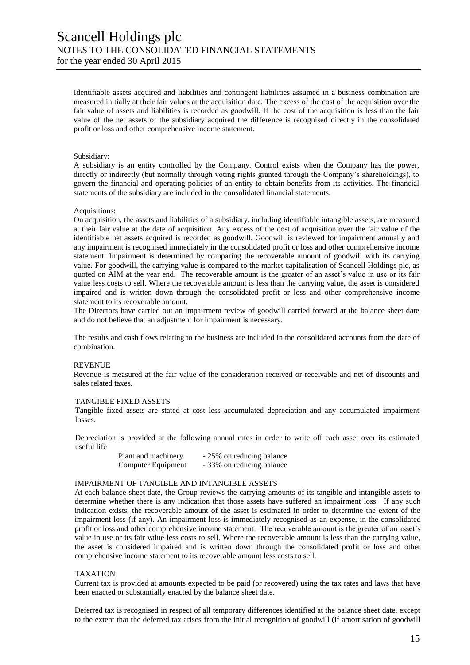Identifiable assets acquired and liabilities and contingent liabilities assumed in a business combination are measured initially at their fair values at the acquisition date. The excess of the cost of the acquisition over the fair value of assets and liabilities is recorded as goodwill. If the cost of the acquisition is less than the fair value of the net assets of the subsidiary acquired the difference is recognised directly in the consolidated profit or loss and other comprehensive income statement.

#### Subsidiary:

A subsidiary is an entity controlled by the Company. Control exists when the Company has the power, directly or indirectly (but normally through voting rights granted through the Company's shareholdings), to govern the financial and operating policies of an entity to obtain benefits from its activities. The financial statements of the subsidiary are included in the consolidated financial statements.

#### Acquisitions:

On acquisition, the assets and liabilities of a subsidiary, including identifiable intangible assets, are measured at their fair value at the date of acquisition. Any excess of the cost of acquisition over the fair value of the identifiable net assets acquired is recorded as goodwill. Goodwill is reviewed for impairment annually and any impairment is recognised immediately in the consolidated profit or loss and other comprehensive income statement. Impairment is determined by comparing the recoverable amount of goodwill with its carrying value. For goodwill, the carrying value is compared to the market capitalisation of Scancell Holdings plc, as quoted on AIM at the year end. The recoverable amount is the greater of an asset's value in use or its fair value less costs to sell. Where the recoverable amount is less than the carrying value, the asset is considered impaired and is written down through the consolidated profit or loss and other comprehensive income statement to its recoverable amount.

The Directors have carried out an impairment review of goodwill carried forward at the balance sheet date and do not believe that an adjustment for impairment is necessary.

The results and cash flows relating to the business are included in the consolidated accounts from the date of combination.

#### REVENUE

Revenue is measured at the fair value of the consideration received or receivable and net of discounts and sales related taxes.

#### TANGIBLE FIXED ASSETS

Tangible fixed assets are stated at cost less accumulated depreciation and any accumulated impairment losses.

Depreciation is provided at the following annual rates in order to write off each asset over its estimated useful life

| Plant and machinery | - 25% on reducing balance |
|---------------------|---------------------------|
| Computer Equipment  | -33% on reducing balance  |

#### IMPAIRMENT OF TANGIBLE AND INTANGIBLE ASSETS

At each balance sheet date, the Group reviews the carrying amounts of its tangible and intangible assets to determine whether there is any indication that those assets have suffered an impairment loss. If any such indication exists, the recoverable amount of the asset is estimated in order to determine the extent of the impairment loss (if any). An impairment loss is immediately recognised as an expense, in the consolidated profit or loss and other comprehensive income statement. The recoverable amount is the greater of an asset's value in use or its fair value less costs to sell. Where the recoverable amount is less than the carrying value, the asset is considered impaired and is written down through the consolidated profit or loss and other comprehensive income statement to its recoverable amount less costs to sell.

#### TAXATION

Current tax is provided at amounts expected to be paid (or recovered) using the tax rates and laws that have been enacted or substantially enacted by the balance sheet date.

Deferred tax is recognised in respect of all temporary differences identified at the balance sheet date, except to the extent that the deferred tax arises from the initial recognition of goodwill (if amortisation of goodwill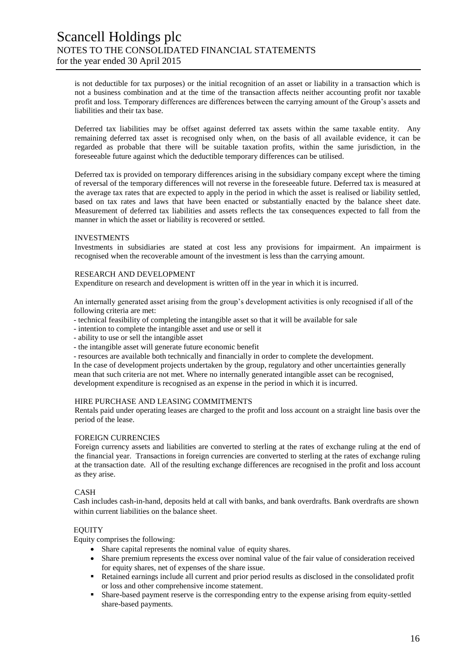is not deductible for tax purposes) or the initial recognition of an asset or liability in a transaction which is not a business combination and at the time of the transaction affects neither accounting profit nor taxable profit and loss. Temporary differences are differences between the carrying amount of the Group's assets and liabilities and their tax base.

Deferred tax liabilities may be offset against deferred tax assets within the same taxable entity. Any remaining deferred tax asset is recognised only when, on the basis of all available evidence, it can be regarded as probable that there will be suitable taxation profits, within the same jurisdiction, in the foreseeable future against which the deductible temporary differences can be utilised.

Deferred tax is provided on temporary differences arising in the subsidiary company except where the timing of reversal of the temporary differences will not reverse in the foreseeable future. Deferred tax is measured at the average tax rates that are expected to apply in the period in which the asset is realised or liability settled, based on tax rates and laws that have been enacted or substantially enacted by the balance sheet date. Measurement of deferred tax liabilities and assets reflects the tax consequences expected to fall from the manner in which the asset or liability is recovered or settled.

#### INVESTMENTS

Investments in subsidiaries are stated at cost less any provisions for impairment. An impairment is recognised when the recoverable amount of the investment is less than the carrying amount.

#### RESEARCH AND DEVELOPMENT

Expenditure on research and development is written off in the year in which it is incurred.

An internally generated asset arising from the group's development activities is only recognised if all of the following criteria are met:

- technical feasibility of completing the intangible asset so that it will be available for sale

- intention to complete the intangible asset and use or sell it

- ability to use or sell the intangible asset
- the intangible asset will generate future economic benefit

- resources are available both technically and financially in order to complete the development.

In the case of development projects undertaken by the group, regulatory and other uncertainties generally mean that such criteria are not met. Where no internally generated intangible asset can be recognised, development expenditure is recognised as an expense in the period in which it is incurred.

#### HIRE PURCHASE AND LEASING COMMITMENTS

Rentals paid under operating leases are charged to the profit and loss account on a straight line basis over the period of the lease.

#### FOREIGN CURRENCIES

Foreign currency assets and liabilities are converted to sterling at the rates of exchange ruling at the end of the financial year. Transactions in foreign currencies are converted to sterling at the rates of exchange ruling at the transaction date. All of the resulting exchange differences are recognised in the profit and loss account as they arise.

#### CASH

Cash includes cash-in-hand, deposits held at call with banks, and bank overdrafts. Bank overdrafts are shown within current liabilities on the balance sheet.

#### **EQUITY**

Equity comprises the following:

- Share capital represents the nominal value of equity shares.
- Share premium represents the excess over nominal value of the fair value of consideration received for equity shares, net of expenses of the share issue.
- Retained earnings include all current and prior period results as disclosed in the consolidated profit or loss and other comprehensive income statement.
- Share-based payment reserve is the corresponding entry to the expense arising from equity-settled share-based payments.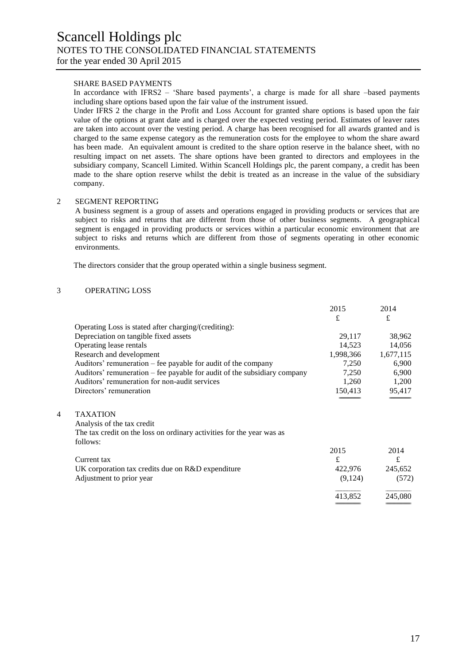#### SHARE BASED PAYMENTS

In accordance with IFRS2 – 'Share based payments', a charge is made for all share –based payments including share options based upon the fair value of the instrument issued.

Under IFRS 2 the charge in the Profit and Loss Account for granted share options is based upon the fair value of the options at grant date and is charged over the expected vesting period. Estimates of leaver rates are taken into account over the vesting period. A charge has been recognised for all awards granted and is charged to the same expense category as the remuneration costs for the employee to whom the share award has been made. An equivalent amount is credited to the share option reserve in the balance sheet, with no resulting impact on net assets. The share options have been granted to directors and employees in the subsidiary company, Scancell Limited. Within Scancell Holdings plc, the parent company, a credit has been made to the share option reserve whilst the debit is treated as an increase in the value of the subsidiary company.

#### 2 SEGMENT REPORTING

A business segment is a group of assets and operations engaged in providing products or services that are subject to risks and returns that are different from those of other business segments. A geographical segment is engaged in providing products or services within a particular economic environment that are subject to risks and returns which are different from those of segments operating in other economic environments.

The directors consider that the group operated within a single business segment.

#### 3 OPERATING LOSS

|   |                                                                          | 2015      | 2014      |
|---|--------------------------------------------------------------------------|-----------|-----------|
|   |                                                                          | £         | £         |
|   | Operating Loss is stated after charging/(crediting):                     |           |           |
|   | Depreciation on tangible fixed assets                                    | 29,117    | 38,962    |
|   | Operating lease rentals                                                  | 14,523    | 14,056    |
|   | Research and development                                                 | 1,998,366 | 1,677,115 |
|   | Auditors' remuneration – fee payable for audit of the company            | 7,250     | 6,900     |
|   | Auditors' remuneration – fee payable for audit of the subsidiary company | 7,250     | 6,900     |
|   | Auditors' remuneration for non-audit services                            | 1,260     | 1,200     |
|   | Directors' remuneration                                                  | 150,413   | 95,417    |
|   |                                                                          |           |           |
| 4 | <b>TAXATION</b>                                                          |           |           |
|   | Analysis of the tax credit                                               |           |           |
|   | The tax credit on the loss on ordinary activities for the year was as    |           |           |
|   | follows:                                                                 |           |           |
|   |                                                                          | 2015      | 2014      |
|   | Current tax                                                              | £         | £         |
|   | UK corporation tax credits due on R&D expenditure                        | 422,976   | 245,652   |
|   | Adjustment to prior year                                                 | (9,124)   | (572)     |
|   |                                                                          | 413,852   | 245,080   |
|   |                                                                          |           |           |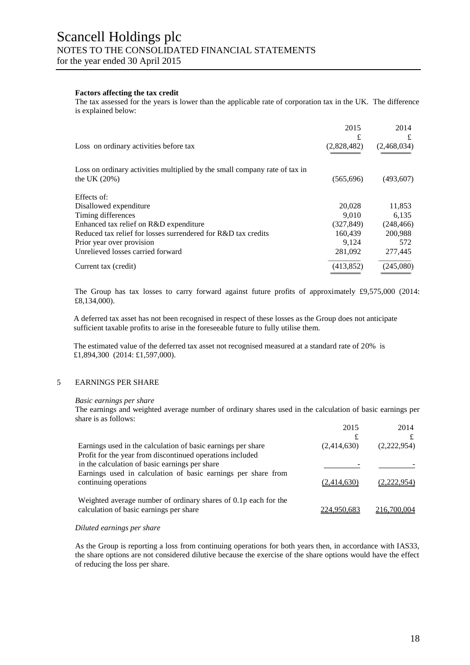#### **Factors affecting the tax credit**

The tax assessed for the years is lower than the applicable rate of corporation tax in the UK. The difference is explained below:

|                                                                                               | 2015             | 2014             |
|-----------------------------------------------------------------------------------------------|------------------|------------------|
| Loss on ordinary activities before tax                                                        | £<br>(2,828,482) | £<br>(2,468,034) |
| Loss on ordinary activities multiplied by the small company rate of tax in<br>the UK $(20\%)$ | (565,696)        | (493,607)        |
| Effects of:                                                                                   |                  |                  |
| Disallowed expenditure                                                                        | 20,028           | 11,853           |
| Timing differences                                                                            | 9.010            | 6,135            |
| Enhanced tax relief on R&D expenditure                                                        | (327, 849)       | (248, 466)       |
| Reduced tax relief for losses surrendered for R&D tax credits                                 | 160,439          | 200,988          |
| Prior year over provision                                                                     | 9.124            | 572              |
| Unrelieved losses carried forward                                                             | 281,092          | 277,445          |
| Current tax (credit)                                                                          | (413,852)        | (245,080)        |

The Group has tax losses to carry forward against future profits of approximately  $\text{\textsterling}9,575,000$  (2014: £8,134,000).

A deferred tax asset has not been recognised in respect of these losses as the Group does not anticipate sufficient taxable profits to arise in the foreseeable future to fully utilise them.

The estimated value of the deferred tax asset not recognised measured at a standard rate of 20% is £1,894,300 (2014: £1,597,000).

#### 5 EARNINGS PER SHARE

#### *Basic earnings per share*

The earnings and weighted average number of ordinary shares used in the calculation of basic earnings per share is as follows:

|                                                                                                                           | 2015        | 2014        |
|---------------------------------------------------------------------------------------------------------------------------|-------------|-------------|
| Earnings used in the calculation of basic earnings per share<br>Profit for the year from discontinued operations included | (2,414,630) | (2,222,954) |
| in the calculation of basic earnings per share                                                                            |             |             |
| Earnings used in calculation of basic earnings per share from<br>continuing operations                                    | (2,414,630) | 222.954)    |
| Weighted average number of ordinary shares of 0.1p each for the<br>calculation of basic earnings per share                | 224.950.683 | 216.700.004 |

#### *Diluted earnings per share*

As the Group is reporting a loss from continuing operations for both years then, in accordance with IAS33, the share options are not considered dilutive because the exercise of the share options would have the effect of reducing the loss per share.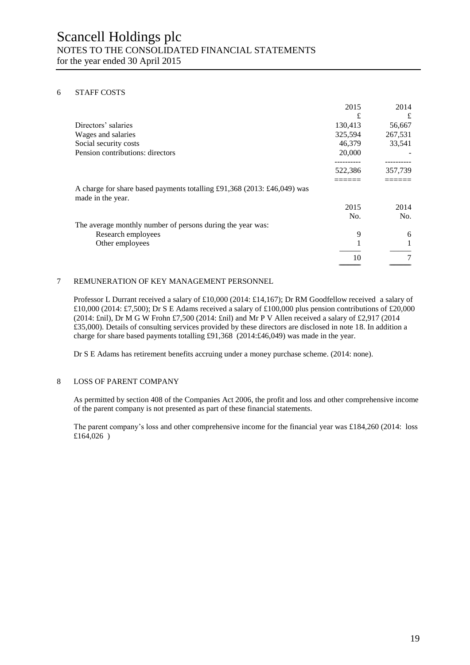#### 6 STAFF COSTS

|                                                                                              | 2015    | 2014    |
|----------------------------------------------------------------------------------------------|---------|---------|
|                                                                                              | £       | £       |
| Directors' salaries                                                                          | 130,413 | 56,667  |
| Wages and salaries                                                                           | 325,594 | 267,531 |
| Social security costs                                                                        | 46,379  | 33,541  |
| Pension contributions: directors                                                             | 20,000  |         |
|                                                                                              |         |         |
|                                                                                              | 522,386 | 357,739 |
|                                                                                              |         |         |
| A charge for share based payments totalling £91,368 (2013: £46,049) was<br>made in the year. |         |         |
|                                                                                              | 2015    | 2014    |
|                                                                                              | No.     | No.     |
| The average monthly number of persons during the year was:                                   |         |         |
| Research employees                                                                           | 9       | 6       |
| Other employees                                                                              |         |         |
|                                                                                              | 10      | 7       |
|                                                                                              |         |         |

#### 7 REMUNERATION OF KEY MANAGEMENT PERSONNEL

Professor L Durrant received a salary of £10,000 (2014: £14,167); Dr RM Goodfellow received a salary of £10,000 (2014: £7,500); Dr S E Adams received a salary of £100,000 plus pension contributions of £20,000 (2014: £nil), Dr M G W Frohn £7,500 (2014: £nil) and Mr P V Allen received a salary of £2,917 (2014 £35,000). Details of consulting services provided by these directors are disclosed in note 18. In addition a charge for share based payments totalling £91,368 (2014:£46,049) was made in the year.

Dr S E Adams has retirement benefits accruing under a money purchase scheme. (2014: none).

#### 8 LOSS OF PARENT COMPANY

As permitted by section 408 of the Companies Act 2006, the profit and loss and other comprehensive income of the parent company is not presented as part of these financial statements.

The parent company's loss and other comprehensive income for the financial year was £184,260 (2014: loss £164,026 )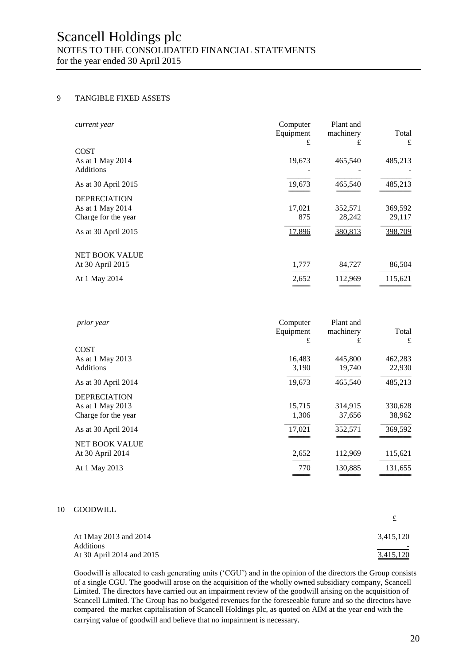# Scancell Holdings plc NOTES TO THE CONSOLIDATED FINANCIAL STATEMENTS

for the year ended 30 April 2015

#### 9 TANGIBLE FIXED ASSETS

| current year          | Computer<br>Equipment<br>£ | Plant and<br>machinery<br>£ | Total<br>£ |
|-----------------------|----------------------------|-----------------------------|------------|
| <b>COST</b>           |                            |                             |            |
| As at 1 May 2014      | 19,673                     | 465,540                     | 485,213    |
| <b>Additions</b>      |                            |                             |            |
| As at 30 April 2015   | 19,673                     | 465,540                     | 485,213    |
| <b>DEPRECIATION</b>   |                            |                             |            |
| As at 1 May 2014      | 17,021                     | 352,571                     | 369,592    |
| Charge for the year   | 875                        | 28,242                      | 29,117     |
| As at 30 April $2015$ | 17,896                     | 380,813                     | 398,709    |
| <b>NET BOOK VALUE</b> |                            |                             |            |
| At 30 April 2015      | 1,777                      | 84,727                      | 86,504     |
| At 1 May 2014         | 2,652                      | 112,969                     | 115,621    |
|                       |                            |                             |            |

| prior year            | Computer<br>Equipment<br>£ | Plant and<br>machinery<br>£ | Total<br>£ |
|-----------------------|----------------------------|-----------------------------|------------|
| <b>COST</b>           |                            |                             |            |
| As at 1 May 2013      | 16,483                     | 445,800                     | 462,283    |
| Additions             | 3,190                      | 19,740                      | 22,930     |
| As at 30 April 2014   | 19,673                     | 465,540                     | 485,213    |
| <b>DEPRECIATION</b>   |                            |                             |            |
| As at 1 May 2013      | 15,715                     | 314,915                     | 330,628    |
| Charge for the year   | 1,306                      | 37,656                      | 38,962     |
| As at 30 April 2014   | 17,021                     | 352,571                     | 369,592    |
| <b>NET BOOK VALUE</b> |                            |                             |            |
| At 30 April 2014      | 2,652                      | 112,969                     | 115,621    |
| At 1 May 2013         | 770                        | 130,885                     | 131,655    |
|                       |                            |                             |            |

#### 10 GOODWILL

| At 1May 2013 and 2014<br><b>Additions</b> | 3,415,120        |
|-------------------------------------------|------------------|
| At 30 April 2014 and 2015                 | <u>3,415,120</u> |

Goodwill is allocated to cash generating units ('CGU') and in the opinion of the directors the Group consists of a single CGU. The goodwill arose on the acquisition of the wholly owned subsidiary company, Scancell Limited. The directors have carried out an impairment review of the goodwill arising on the acquisition of Scancell Limited. The Group has no budgeted revenues for the foreseeable future and so the directors have compared the market capitalisation of Scancell Holdings plc, as quoted on AIM at the year end with the carrying value of goodwill and believe that no impairment is necessary*.*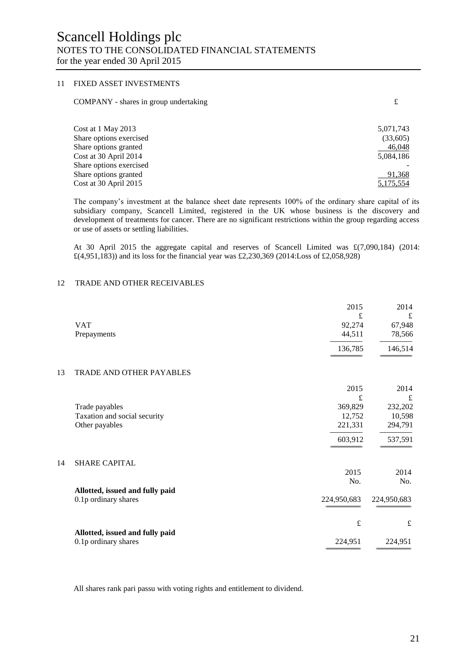#### 11 FIXED ASSET INVESTMENTS

| COMPANY - shares in group undertaking |  |
|---------------------------------------|--|
|---------------------------------------|--|

| Cost at 1 May 2013      | 5,071,743 |
|-------------------------|-----------|
| Share options exercised | (33,605)  |
| Share options granted   | 46,048    |
| Cost at 30 April 2014   | 5,084,186 |
| Share options exercised |           |
| Share options granted   | 91,368    |
| Cost at 30 April 2015   | 5,175,554 |
|                         |           |

The company's investment at the balance sheet date represents 100% of the ordinary share capital of its subsidiary company, Scancell Limited, registered in the UK whose business is the discovery and development of treatments for cancer. There are no significant restrictions within the group regarding access or use of assets or settling liabilities.

At 30 April 2015 the aggregate capital and reserves of Scancell Limited was £(7,090,184) (2014: £(4,951,183)) and its loss for the financial year was £2,230,369 (2014:Loss of £2,058,928)

#### 12 TRADE AND OTHER RECEIVABLES

|    |                                 | 2015        | 2014        |
|----|---------------------------------|-------------|-------------|
|    | <b>VAT</b>                      | £           | $\pounds$   |
|    |                                 | 92,274      | 67,948      |
|    | Prepayments                     | 44,511      | 78,566      |
|    |                                 | 136,785     | 146,514     |
| 13 | TRADE AND OTHER PAYABLES        |             |             |
|    |                                 | 2015        | 2014        |
|    |                                 | £           | £           |
|    | Trade payables                  | 369,829     | 232,202     |
|    | Taxation and social security    | 12,752      | 10,598      |
|    | Other payables                  | 221,331     | 294,791     |
|    |                                 | 603,912     | 537,591     |
| 14 | <b>SHARE CAPITAL</b>            |             |             |
|    |                                 | 2015        | 2014        |
|    |                                 | No.         | No.         |
|    | Allotted, issued and fully paid |             |             |
|    | 0.1p ordinary shares            | 224,950,683 | 224,950,683 |
|    |                                 | $\pounds$   | $\pounds$   |
|    | Allotted, issued and fully paid |             |             |
|    | 0.1p ordinary shares            | 224,951     | 224,951     |
|    |                                 |             |             |

All shares rank pari passu with voting rights and entitlement to dividend.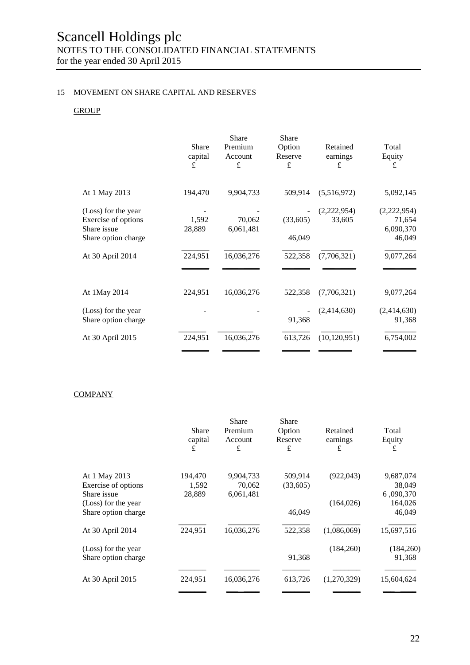### 15 MOVEMENT ON SHARE CAPITAL AND RESERVES

### **GROUP**

|                                                           | Share<br>capital<br>£ | Share<br>Premium<br>Account<br>£ | <b>Share</b><br>Option<br>Reserve<br>£ | Retained<br>earnings<br>£ | Total<br>Equity<br>£               |
|-----------------------------------------------------------|-----------------------|----------------------------------|----------------------------------------|---------------------------|------------------------------------|
| At 1 May 2013                                             | 194,470               | 9,904,733                        | 509,914                                | (5,516,972)               | 5,092,145                          |
| (Loss) for the year<br>Exercise of options<br>Share issue | 1,592<br>28,889       | 70,062<br>6,061,481              | (33,605)                               | (2,222,954)<br>33,605     | (2,222,954)<br>71,654<br>6,090,370 |
| Share option charge                                       |                       |                                  | 46,049                                 |                           | 46,049                             |
| At 30 April 2014                                          | 224,951               | 16,036,276                       | 522,358                                | (7,706,321)               | 9,077,264                          |
| At 1May 2014                                              | 224,951               | 16,036,276                       | 522,358                                | (7,706,321)               | 9,077,264                          |
| (Loss) for the year<br>Share option charge                |                       |                                  | 91,368                                 | (2,414,630)               | (2,414,630)<br>91,368              |
| At 30 April 2015                                          | 224,951               | 16,036,276                       | 613,726                                | (10, 120, 951)            | 6,754,002                          |
|                                                           |                       |                                  |                                        |                           |                                    |

#### **COMPANY**

|                     | <b>Share</b><br>capital<br>£ | <b>Share</b><br>Premium<br>Account<br>£ | Share<br>Option<br>Reserve<br>£ | Retained<br>earnings<br>£ | Total<br>Equity<br>£ |
|---------------------|------------------------------|-----------------------------------------|---------------------------------|---------------------------|----------------------|
| At 1 May 2013       | 194,470                      | 9,904,733                               | 509,914                         | (922, 043)                | 9,687,074            |
| Exercise of options | 1,592                        | 70,062                                  | (33,605)                        |                           | 38,049               |
| Share issue         | 28,889                       | 6,061,481                               |                                 |                           | 6,090,370            |
| (Loss) for the year |                              |                                         |                                 | (164, 026)                | 164,026              |
| Share option charge |                              |                                         | 46,049                          |                           | 46,049               |
| At 30 April 2014    | 224,951                      | 16,036,276                              | 522,358                         | (1,086,069)               | 15,697,516           |
| (Loss) for the year |                              |                                         |                                 | (184,260)                 | (184, 260)           |
| Share option charge |                              |                                         | 91,368                          |                           | 91,368               |
|                     |                              |                                         |                                 |                           |                      |
| At 30 April 2015    | 224,951                      | 16,036,276                              | 613,726                         | (1,270,329)               | 15,604,624           |
|                     |                              |                                         |                                 |                           |                      |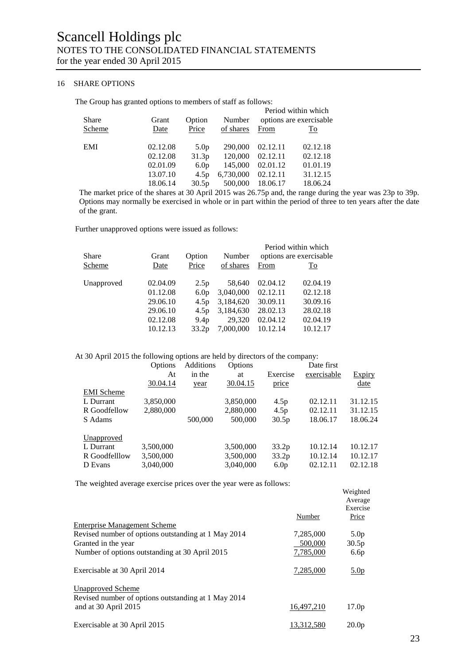#### 16 SHARE OPTIONS

The Group has granted options to members of staff as follows:

| Grant    | Option           | Number    | Period within which<br>options are exercisable |          |
|----------|------------------|-----------|------------------------------------------------|----------|
| Date     | Price            | of shares | From                                           | To       |
| 02.12.08 | 5.0 <sub>p</sub> | 290,000   | 02.12.11                                       | 02.12.18 |
| 02.12.08 | 31.3p            | 120,000   | 02.12.11                                       | 02.12.18 |
| 02.01.09 | 6.0 <sub>p</sub> | 145,000   | 02.01.12                                       | 01.01.19 |
| 13.07.10 | 4.5p             | 6,730,000 | 02.12.11                                       | 31.12.15 |
| 18.06.14 | 30.5p            | 500,000   | 18.06.17                                       | 18.06.24 |
|          |                  |           |                                                |          |

The market price of the shares at 30 April 2015 was 26.75p and, the range during the year was 23p to 39p. Options may normally be exercised in whole or in part within the period of three to ten years after the date of the grant.

Further unapproved options were issued as follows:

| Share      | Grant                            | Option                                                    | Number                           |                                  | Period within which<br>options are exercisable. |
|------------|----------------------------------|-----------------------------------------------------------|----------------------------------|----------------------------------|-------------------------------------------------|
| Scheme     | Date                             | Price                                                     | of shares                        | From                             | To                                              |
| Unapproved | 02.04.09<br>01.12.08<br>29.06.10 | 2.5p<br>6.0 <sub>p</sub><br>4.5 <sub>p</sub>              | 58,640<br>3,040,000<br>3,184,620 | 02.04.12<br>02.12.11<br>30.09.11 | 02.04.19<br>02.12.18<br>30.09.16                |
|            | 29.06.10<br>02.12.08<br>10.12.13 | 4.5 <sub>p</sub><br>9.4 <sub>p</sub><br>33.2 <sub>p</sub> | 3,184,630<br>29,320<br>7,000,000 | 28.02.13<br>02.04.12<br>10.12.14 | 28.02.18<br>02.04.19<br>10.12.17                |
|            |                                  |                                                           |                                  |                                  |                                                 |

#### At 30 April 2015 the following options are held by directors of the company:

|                   | Options   | Additions | Options   |                  | Date first  |          |
|-------------------|-----------|-----------|-----------|------------------|-------------|----------|
|                   | At        | in the    | at        | Exercise         | exercisable | Expiry   |
|                   | 30.04.14  | year      | 30.04.15  | price            |             | date     |
| <b>EMI</b> Scheme |           |           |           |                  |             |          |
| L Durrant         | 3,850,000 |           | 3,850,000 | 4.5p             | 02.12.11    | 31.12.15 |
| R Goodfellow      | 2,880,000 |           | 2,880,000 | 4.5p             | 02.12.11    | 31.12.15 |
| S Adams           |           | 500,000   | 500,000   | 30.5p            | 18.06.17    | 18.06.24 |
| Unapproved        |           |           |           |                  |             |          |
| L Durrant         | 3,500,000 |           | 3,500,000 | 33.2p            | 10.12.14    | 10.12.17 |
| R Goodfelllow     | 3,500,000 |           | 3,500,000 | 33.2p            | 10.12.14    | 10.12.17 |
| D Evans           | 3,040,000 |           | 3,040,000 | 6.0 <sub>p</sub> | 02.12.11    | 02.12.18 |
|                   |           |           |           |                  |             |          |

The weighted average exercise prices over the year were as follows:

| The weighted average energies prices over the year were as follows.         |            |                                          |
|-----------------------------------------------------------------------------|------------|------------------------------------------|
|                                                                             | Number     | Weighted<br>Average<br>Exercise<br>Price |
| <b>Enterprise Management Scheme</b>                                         |            |                                          |
| Revised number of options outstanding at 1 May 2014                         | 7,285,000  | 5.0 <sub>p</sub>                         |
| Granted in the year                                                         | 500,000    | 30.5p                                    |
| Number of options outstanding at 30 April 2015                              | 7,785,000  | 6.6p                                     |
| Exercisable at 30 April 2014                                                | 7,285,000  | 5.0 <sub>p</sub>                         |
| <b>Unapproved Scheme</b>                                                    |            |                                          |
| Revised number of options outstanding at 1 May 2014<br>and at 30 April 2015 | 16,497,210 | 17.0 <sub>p</sub>                        |
| Exercisable at 30 April 2015                                                | 13,312,580 | 20.0 <sub>p</sub>                        |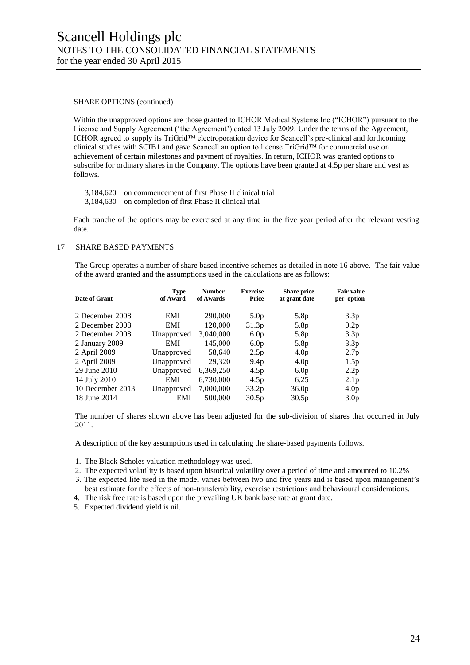#### SHARE OPTIONS (continued)

Within the unapproved options are those granted to ICHOR Medical Systems Inc ("ICHOR") pursuant to the License and Supply Agreement ('the Agreement') dated 13 July 2009. Under the terms of the Agreement, ICHOR agreed to supply its TriGrid™ electroporation device for Scancell's pre-clinical and forthcoming clinical studies with SCIB1 and gave Scancell an option to license TriGrid™ for commercial use on achievement of certain milestones and payment of royalties. In return, ICHOR was granted options to subscribe for ordinary shares in the Company. The options have been granted at 4.5p per share and vest as follows.

- 3,184,620 on commencement of first Phase II clinical trial
- 3,184,630 on completion of first Phase II clinical trial

Each tranche of the options may be exercised at any time in the five year period after the relevant vesting date.

#### 17 SHARE BASED PAYMENTS

The Group operates a number of share based incentive schemes as detailed in note 16 above. The fair value of the award granted and the assumptions used in the calculations are as follows:

| Date of Grant    | <b>Type</b><br>of Award | <b>Number</b><br>of Awards | <b>Exercise</b><br>Price | <b>Share price</b><br>at grant date | <b>Fair value</b><br>per option |
|------------------|-------------------------|----------------------------|--------------------------|-------------------------------------|---------------------------------|
| 2 December 2008  | EMI                     | 290,000                    | 5.0 <sub>p</sub>         | 5.8p                                | 3.3p                            |
| 2 December 2008  | <b>EMI</b>              | 120,000                    | 31.3 <sub>p</sub>        | 5.8p                                | 0.2p                            |
| 2 December 2008  | Unapproved              | 3,040,000                  | 6.0 <sub>p</sub>         | 5.8p                                | 3.3 <sub>p</sub>                |
| 2 January 2009   | EMI                     | 145,000                    | 6.0 <sub>p</sub>         | 5.8p                                | 3.3 <sub>p</sub>                |
| 2 April 2009     | Unapproved              | 58,640                     | 2.5p                     | 4.0 <sub>p</sub>                    | 2.7 <sub>p</sub>                |
| 2 April 2009     | Unapproved              | 29,320                     | 9.4 <sub>p</sub>         | 4.0 <sub>p</sub>                    | 1.5p                            |
| 29 June 2010     | Unapproved              | 6,369,250                  | 4.5p                     | 6.0 <sub>p</sub>                    | 2.2p                            |
| 14 July 2010     | EMI                     | 6,730,000                  | 4.5p                     | 6.25                                | 2.1 <sub>p</sub>                |
| 10 December 2013 | Unapproved              | 7,000,000                  | 33.2 <sub>p</sub>        | 36.0 <sub>p</sub>                   | 4.0 <sub>p</sub>                |
| 18 June 2014     | EMI                     | 500,000                    | 30.5 <sub>p</sub>        | 30.5 <sub>p</sub>                   | 3.0 <sub>p</sub>                |

The number of shares shown above has been adjusted for the sub-division of shares that occurred in July 2011.

A description of the key assumptions used in calculating the share-based payments follows.

1. The Black-Scholes valuation methodology was used.

- 2. The expected volatility is based upon historical volatility over a period of time and amounted to 10.2%
- 3. The expected life used in the model varies between two and five years and is based upon management's best estimate for the effects of non-transferability, exercise restrictions and behavioural considerations.
- 4. The risk free rate is based upon the prevailing UK bank base rate at grant date.
- 5. Expected dividend yield is nil.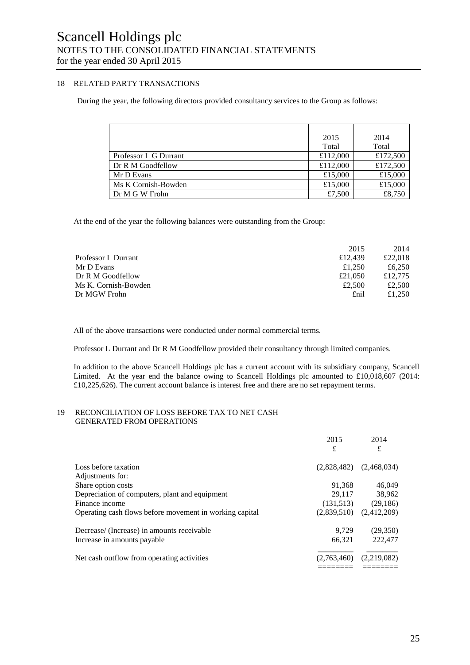#### 18 RELATED PARTY TRANSACTIONS

During the year, the following directors provided consultancy services to the Group as follows:

|                       | 2015     | 2014     |
|-----------------------|----------|----------|
|                       | Total    | Total    |
| Professor L G Durrant | £112,000 | £172,500 |
| Dr R M Goodfellow     | £112,000 | £172,500 |
| Mr D Evans            | £15,000  | £15,000  |
| Ms K Cornish-Bowden   | £15,000  | £15,000  |
| Dr M G W Frohn        | £7,500   | £8,750   |

At the end of the year the following balances were outstanding from the Group:

|                      | 2015    | 2014    |
|----------------------|---------|---------|
| Professor L Durrant  | £12.439 | £22,018 |
| Mr D Evans           | £1.250  | £6,250  |
| Dr R M Goodfellow    | £21,050 | £12,775 |
| Ms K. Cornish-Bowden | £2.500  | £2,500  |
| Dr MGW Frohn         | £nil    | £1.250  |

All of the above transactions were conducted under normal commercial terms.

Professor L Durrant and Dr R M Goodfellow provided their consultancy through limited companies.

In addition to the above Scancell Holdings plc has a current account with its subsidiary company, Scancell Limited. At the year end the balance owing to Scancell Holdings plc amounted to £10,018,607 (2014: £10,225,626). The current account balance is interest free and there are no set repayment terms.

#### 19 RECONCILIATION OF LOSS BEFORE TAX TO NET CASH GENERATED FROM OPERATIONS

|                                                         | 2015        | 2014        |
|---------------------------------------------------------|-------------|-------------|
|                                                         | £           | £           |
| Loss before taxation                                    | (2.828.482) | (2,468,034) |
| Adjustments for:                                        |             |             |
| Share option costs                                      | 91,368      | 46,049      |
| Depreciation of computers, plant and equipment          | 29.117      | 38,962      |
| Finance income                                          | (131,513)   | (29, 186)   |
| Operating cash flows before movement in working capital | (2,839,510) | (2,412,209) |
| Decrease/ (Increase) in amounts receivable              | 9.729       | (29,350)    |
| Increase in amounts payable.                            | 66.321      | 222,477     |
| Net cash outflow from operating activities              | (2,763,460) | (2,219,082) |
|                                                         |             |             |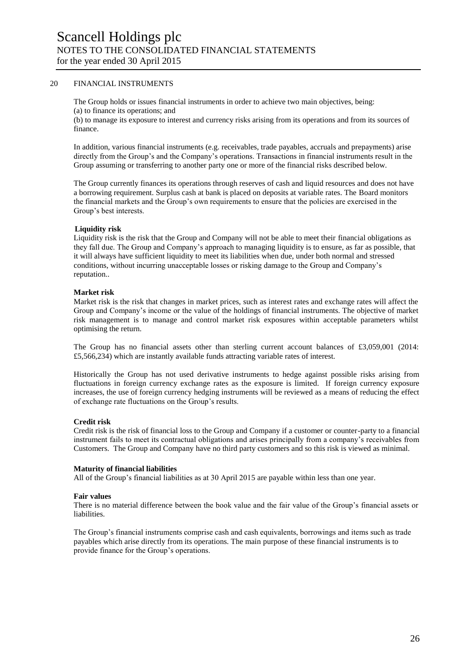#### 20 FINANCIAL INSTRUMENTS

The Group holds or issues financial instruments in order to achieve two main objectives, being: (a) to finance its operations; and

(b) to manage its exposure to interest and currency risks arising from its operations and from its sources of finance.

In addition, various financial instruments (e.g. receivables, trade payables, accruals and prepayments) arise directly from the Group's and the Company's operations. Transactions in financial instruments result in the Group assuming or transferring to another party one or more of the financial risks described below.

The Group currently finances its operations through reserves of cash and liquid resources and does not have a borrowing requirement. Surplus cash at bank is placed on deposits at variable rates. The Board monitors the financial markets and the Group's own requirements to ensure that the policies are exercised in the Group's best interests.

#### **Liquidity risk**

Liquidity risk is the risk that the Group and Company will not be able to meet their financial obligations as they fall due. The Group and Company's approach to managing liquidity is to ensure, as far as possible, that it will always have sufficient liquidity to meet its liabilities when due, under both normal and stressed conditions, without incurring unacceptable losses or risking damage to the Group and Company's reputation..

#### **Market risk**

Market risk is the risk that changes in market prices, such as interest rates and exchange rates will affect the Group and Company's income or the value of the holdings of financial instruments. The objective of market risk management is to manage and control market risk exposures within acceptable parameters whilst optimising the return.

The Group has no financial assets other than sterling current account balances of £3,059,001 (2014: £5,566,234) which are instantly available funds attracting variable rates of interest.

Historically the Group has not used derivative instruments to hedge against possible risks arising from fluctuations in foreign currency exchange rates as the exposure is limited. If foreign currency exposure increases, the use of foreign currency hedging instruments will be reviewed as a means of reducing the effect of exchange rate fluctuations on the Group's results.

#### **Credit risk**

Credit risk is the risk of financial loss to the Group and Company if a customer or counter-party to a financial instrument fails to meet its contractual obligations and arises principally from a company's receivables from Customers. The Group and Company have no third party customers and so this risk is viewed as minimal.

#### **Maturity of financial liabilities**

All of the Group's financial liabilities as at 30 April 2015 are payable within less than one year.

#### **Fair values**

There is no material difference between the book value and the fair value of the Group's financial assets or liabilities.

The Group's financial instruments comprise cash and cash equivalents, borrowings and items such as trade payables which arise directly from its operations. The main purpose of these financial instruments is to provide finance for the Group's operations.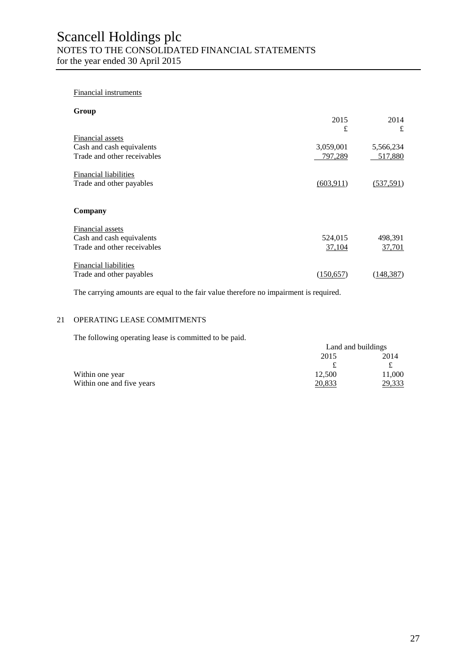#### Financial instruments

| Group                        |            |            |
|------------------------------|------------|------------|
|                              | 2015       | 2014       |
|                              | £          | £          |
| Financial assets             |            |            |
| Cash and cash equivalents    | 3,059,001  | 5,566,234  |
| Trade and other receivables  | 797,289    | 517,880    |
| <b>Financial liabilities</b> |            |            |
| Trade and other payables     | (603, 911) | (537,591)  |
| Company                      |            |            |
| Financial assets             |            |            |
| Cash and cash equivalents    | 524,015    | 498,391    |
| Trade and other receivables  | 37,104     | 37,701     |
| <b>Financial liabilities</b> |            |            |
| Trade and other payables     | (150, 657) | (148, 387) |

The carrying amounts are equal to the fair value therefore no impairment is required.

#### 21 OPERATING LEASE COMMITMENTS

The following operating lease is committed to be paid.

|                           | Land and buildings |        |
|---------------------------|--------------------|--------|
|                           | 2015               | 2014   |
|                           |                    |        |
| Within one year           | 12,500             | 11,000 |
| Within one and five years | 20,833             | 29,333 |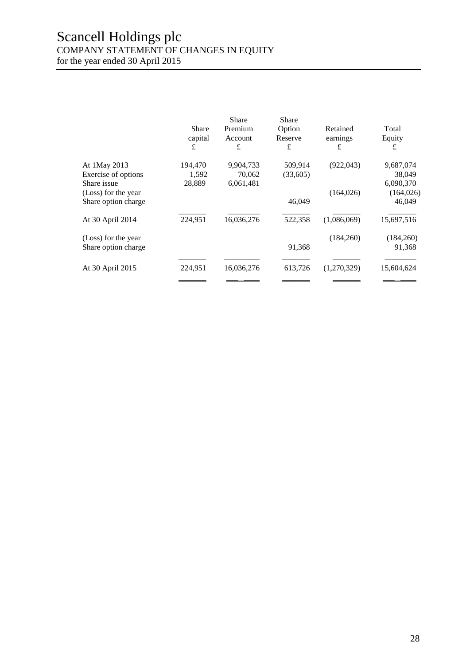## Scancell Holdings plc COMPANY STATEMENT OF CHANGES IN EQUITY

for the year ended 30 April 2015

|                     | Share<br>capital<br>£ | <b>Share</b><br>Premium<br>Account<br>£ | Share<br>Option<br>Reserve<br>£ | Retained<br>earnings<br>£ | Total<br>Equity<br>£ |
|---------------------|-----------------------|-----------------------------------------|---------------------------------|---------------------------|----------------------|
| At 1May 2013        | 194,470               | 9,904,733                               | 509,914                         | (922, 043)                | 9,687,074            |
| Exercise of options | 1,592                 | 70,062                                  | (33,605)                        |                           | 38,049               |
| Share issue         | 28,889                | 6,061,481                               |                                 |                           | 6,090,370            |
| (Loss) for the year |                       |                                         |                                 | (164, 026)                | (164, 026)           |
| Share option charge |                       |                                         | 46,049                          |                           | 46,049               |
| At 30 April 2014    | 224,951               | 16,036,276                              | 522,358                         | (1,086,069)               | 15,697,516           |
| (Loss) for the year |                       |                                         |                                 | (184,260)                 | (184,260)            |
| Share option charge |                       |                                         | 91,368                          |                           | 91,368               |
| At 30 April 2015    | 224,951               | 16,036,276                              | 613,726                         | (1,270,329)               | 15,604,624           |
|                     |                       |                                         |                                 |                           |                      |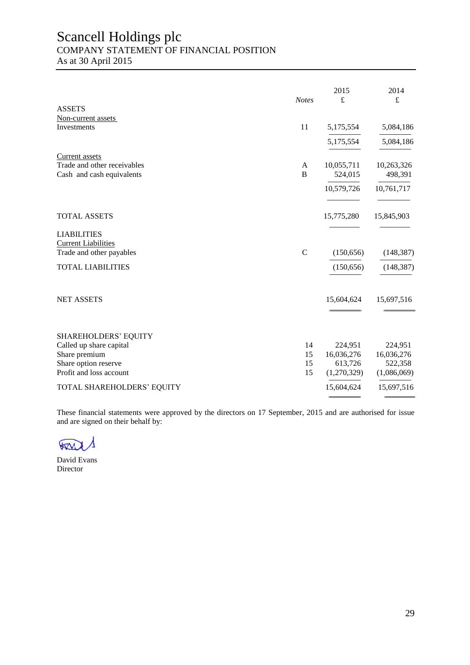## Scancell Holdings plc COMPANY STATEMENT OF FINANCIAL POSITION

As at 30 April 2015

|                             | <b>Notes</b>   | 2015<br>£   | 2014<br>£   |
|-----------------------------|----------------|-------------|-------------|
| <b>ASSETS</b>               |                |             |             |
| Non-current assets          |                |             |             |
| Investments                 | 11             | 5,175,554   | 5,084,186   |
|                             |                | 5,175,554   | 5,084,186   |
| Current assets              |                |             |             |
| Trade and other receivables | A              | 10,055,711  | 10,263,326  |
| Cash and cash equivalents   | $\overline{B}$ | 524,015     | 498,391     |
|                             |                | 10,579,726  | 10,761,717  |
|                             |                |             |             |
| <b>TOTAL ASSETS</b>         |                | 15,775,280  | 15,845,903  |
| <b>LIABILITIES</b>          |                |             |             |
| <b>Current Liabilities</b>  |                |             |             |
| Trade and other payables    | $\mathbf C$    | (150, 656)  | (148, 387)  |
| <b>TOTAL LIABILITIES</b>    |                | (150, 656)  | (148, 387)  |
|                             |                |             |             |
| <b>NET ASSETS</b>           |                | 15,604,624  | 15,697,516  |
|                             |                |             |             |
| <b>SHAREHOLDERS' EQUITY</b> |                |             |             |
| Called up share capital     | 14             | 224,951     | 224,951     |
| Share premium               | 15             | 16,036,276  | 16,036,276  |
| Share option reserve        | 15             | 613,726     | 522,358     |
| Profit and loss account     | 15             | (1,270,329) | (1,086,069) |
| TOTAL SHAREHOLDERS' EQUITY  |                | 15,604,624  | 15,697,516  |
|                             |                |             |             |

These financial statements were approved by the directors on 17 September, 2015 and are authorised for issue and are signed on their behalf by:

 $\sqrt{2}$ 

David Evans Director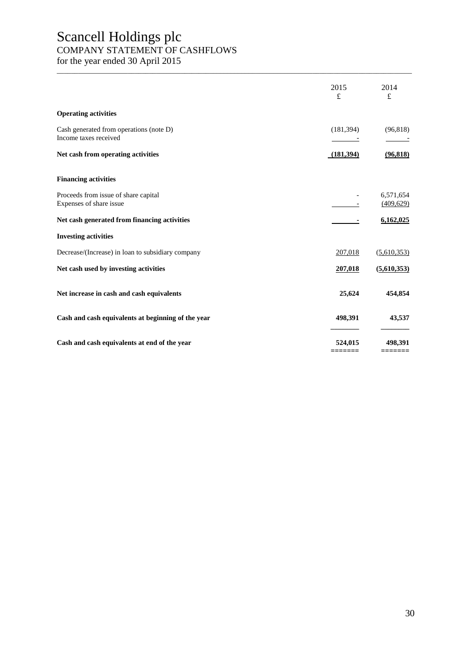## Scancell Holdings plc COMPANY STATEMENT OF CASHFLOWS

for the year ended 30 April 2015

|                                                                  | 2015<br>£  | 2014<br>$\pounds$       |
|------------------------------------------------------------------|------------|-------------------------|
| <b>Operating activities</b>                                      |            |                         |
| Cash generated from operations (note D)<br>Income taxes received | (181, 394) | (96, 818)               |
| Net cash from operating activities                               | (181,394)  | (96, 818)               |
| <b>Financing activities</b>                                      |            |                         |
| Proceeds from issue of share capital<br>Expenses of share issue  |            | 6,571,654<br>(409, 629) |
| Net cash generated from financing activities                     |            | 6,162,025               |
| <b>Investing activities</b>                                      |            |                         |
| Decrease/(Increase) in loan to subsidiary company                | 207,018    | (5,610,353)             |
| Net cash used by investing activities                            | 207,018    | (5,610,353)             |
| Net increase in cash and cash equivalents                        | 25,624     | 454,854                 |
| Cash and cash equivalents at beginning of the year               | 498,391    | 43,537                  |
| Cash and cash equivalents at end of the year                     | 524,015    | 498,391                 |

\_\_\_\_\_\_\_\_\_\_\_\_\_\_\_\_\_\_\_\_\_\_\_\_\_\_\_\_\_\_\_\_\_\_\_\_\_\_\_\_\_\_\_\_\_\_\_\_\_\_\_\_\_\_\_\_\_\_\_\_\_\_\_\_\_\_\_\_\_\_\_\_\_\_\_\_\_\_\_\_\_\_\_\_\_\_\_\_\_\_\_\_\_\_\_\_\_\_\_\_